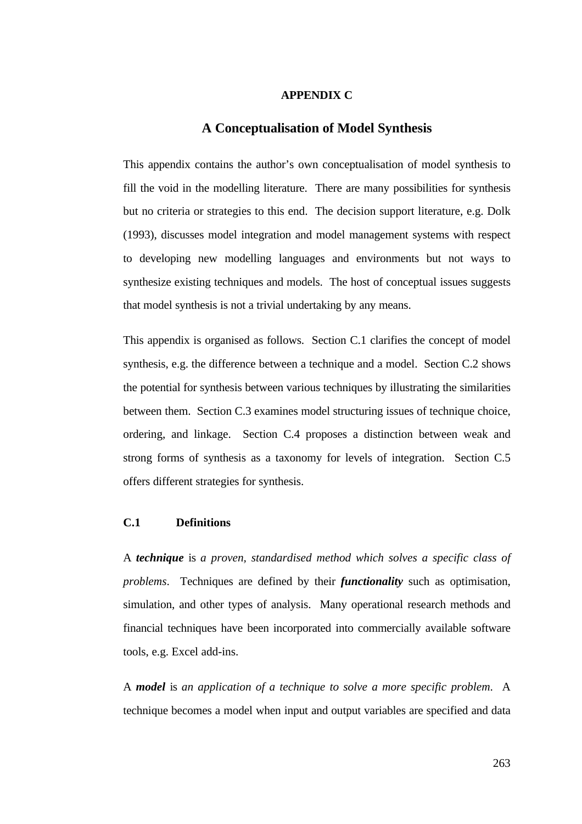## **APPENDIX C**

# **A Conceptualisation of Model Synthesis**

This appendix contains the author's own conceptualisation of model synthesis to fill the void in the modelling literature. There are many possibilities for synthesis but no criteria or strategies to this end. The decision support literature, e.g. Dolk (1993), discusses model integration and model management systems with respect to developing new modelling languages and environments but not ways to synthesize existing techniques and models. The host of conceptual issues suggests that model synthesis is not a trivial undertaking by any means.

This appendix is organised as follows. Section C.1 clarifies the concept of model synthesis, e.g. the difference between a technique and a model. Section C.2 shows the potential for synthesis between various techniques by illustrating the similarities between them. Section C.3 examines model structuring issues of technique choice, ordering, and linkage. Section C.4 proposes a distinction between weak and strong forms of synthesis as a taxonomy for levels of integration. Section C.5 offers different strategies for synthesis.

# **C.1 Definitions**

A *technique* is *a proven, standardised method which solves a specific class of problems*. Techniques are defined by their *functionality* such as optimisation, simulation, and other types of analysis. Many operational research methods and financial techniques have been incorporated into commercially available software tools, e.g. Excel add-ins.

A *model* is *an application of a technique to solve a more specific problem*. A technique becomes a model when input and output variables are specified and data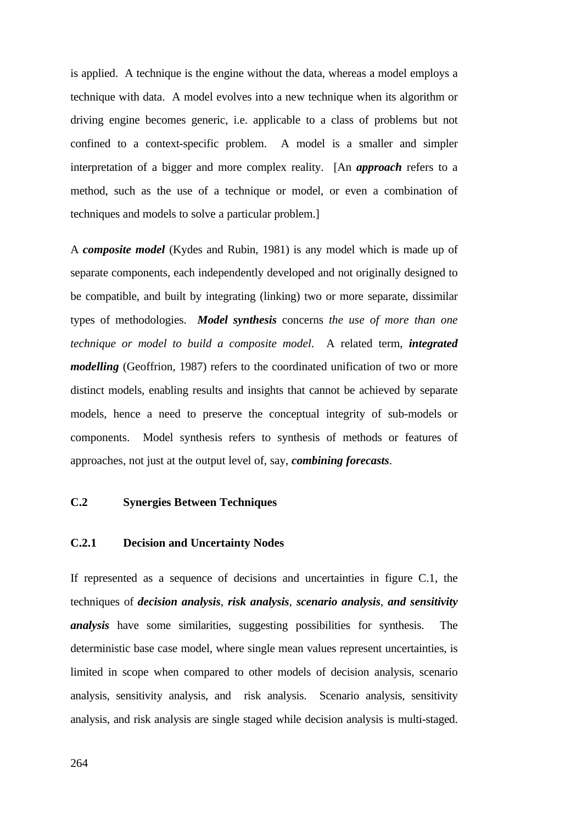is applied. A technique is the engine without the data, whereas a model employs a technique with data. A model evolves into a new technique when its algorithm or driving engine becomes generic, i.e. applicable to a class of problems but not confined to a context-specific problem. A model is a smaller and simpler interpretation of a bigger and more complex reality. [An *approach* refers to a method, such as the use of a technique or model, or even a combination of techniques and models to solve a particular problem.]

A *composite model* (Kydes and Rubin, 1981) is any model which is made up of separate components, each independently developed and not originally designed to be compatible, and built by integrating (linking) two or more separate, dissimilar types of methodologies. *Model synthesis* concerns *the use of more than one technique or model to build a composite model*. A related term, *integrated modelling* (Geoffrion, 1987) refers to the coordinated unification of two or more distinct models, enabling results and insights that cannot be achieved by separate models, hence a need to preserve the conceptual integrity of sub-models or components. Model synthesis refers to synthesis of methods or features of approaches, not just at the output level of, say, *combining forecasts*.

# **C.2 Synergies Between Techniques**

#### **C.2.1 Decision and Uncertainty Nodes**

If represented as a sequence of decisions and uncertainties in figure C.1, the techniques of *decision analysis*, *risk analysis*, *scenario analysis*, *and sensitivity analysis* have some similarities, suggesting possibilities for synthesis. The deterministic base case model, where single mean values represent uncertainties, is limited in scope when compared to other models of decision analysis, scenario analysis, sensitivity analysis, and risk analysis. Scenario analysis, sensitivity analysis, and risk analysis are single staged while decision analysis is multi-staged.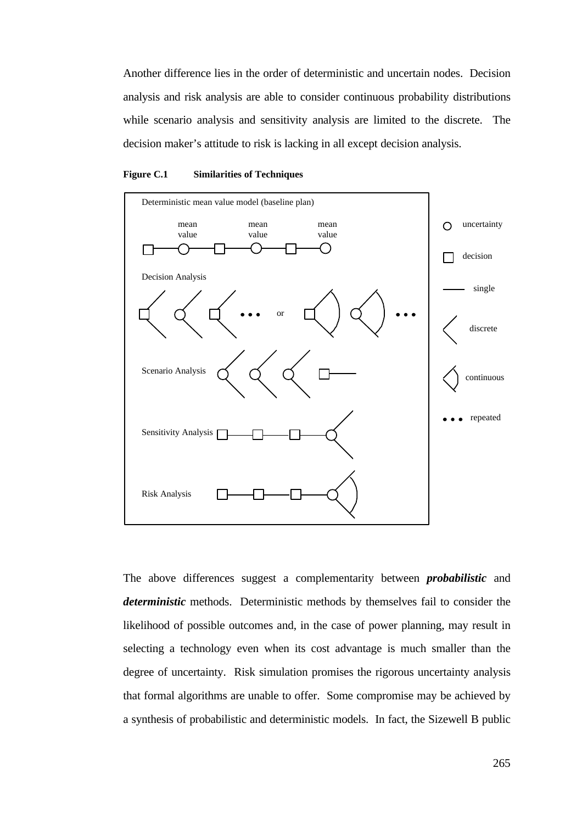Another difference lies in the order of deterministic and uncertain nodes. Decision analysis and risk analysis are able to consider continuous probability distributions while scenario analysis and sensitivity analysis are limited to the discrete. The decision maker's attitude to risk is lacking in all except decision analysis.





The above differences suggest a complementarity between *probabilistic* and *deterministic* methods. Deterministic methods by themselves fail to consider the likelihood of possible outcomes and, in the case of power planning, may result in selecting a technology even when its cost advantage is much smaller than the degree of uncertainty. Risk simulation promises the rigorous uncertainty analysis that formal algorithms are unable to offer. Some compromise may be achieved by a synthesis of probabilistic and deterministic models. In fact, the Sizewell B public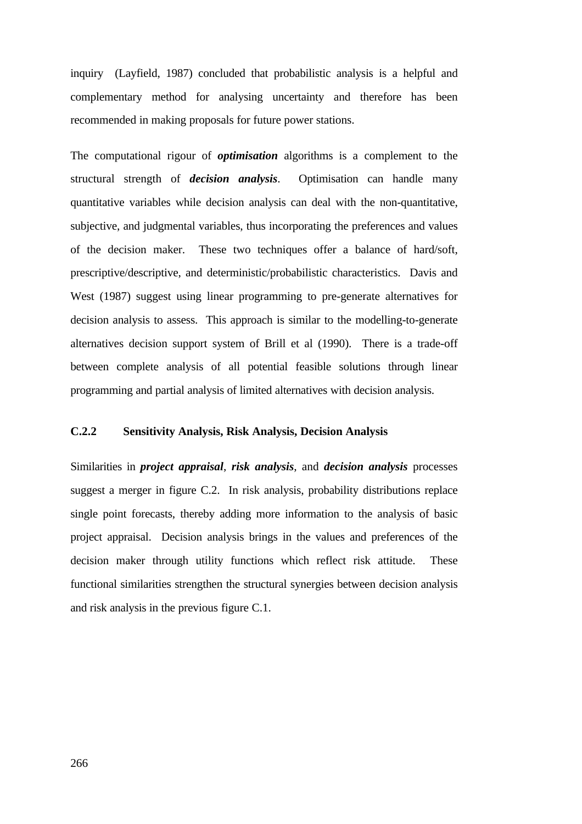inquiry (Layfield, 1987) concluded that probabilistic analysis is a helpful and complementary method for analysing uncertainty and therefore has been recommended in making proposals for future power stations.

The computational rigour of *optimisation* algorithms is a complement to the structural strength of *decision analysis*. Optimisation can handle many quantitative variables while decision analysis can deal with the non-quantitative, subjective, and judgmental variables, thus incorporating the preferences and values of the decision maker. These two techniques offer a balance of hard/soft, prescriptive/descriptive, and deterministic/probabilistic characteristics. Davis and West (1987) suggest using linear programming to pre-generate alternatives for decision analysis to assess. This approach is similar to the modelling-to-generate alternatives decision support system of Brill et al (1990). There is a trade-off between complete analysis of all potential feasible solutions through linear programming and partial analysis of limited alternatives with decision analysis.

## **C.2.2 Sensitivity Analysis, Risk Analysis, Decision Analysis**

Similarities in *project appraisal*, *risk analysis*, and *decision analysis* processes suggest a merger in figure C.2. In risk analysis, probability distributions replace single point forecasts, thereby adding more information to the analysis of basic project appraisal. Decision analysis brings in the values and preferences of the decision maker through utility functions which reflect risk attitude. These functional similarities strengthen the structural synergies between decision analysis and risk analysis in the previous figure C.1.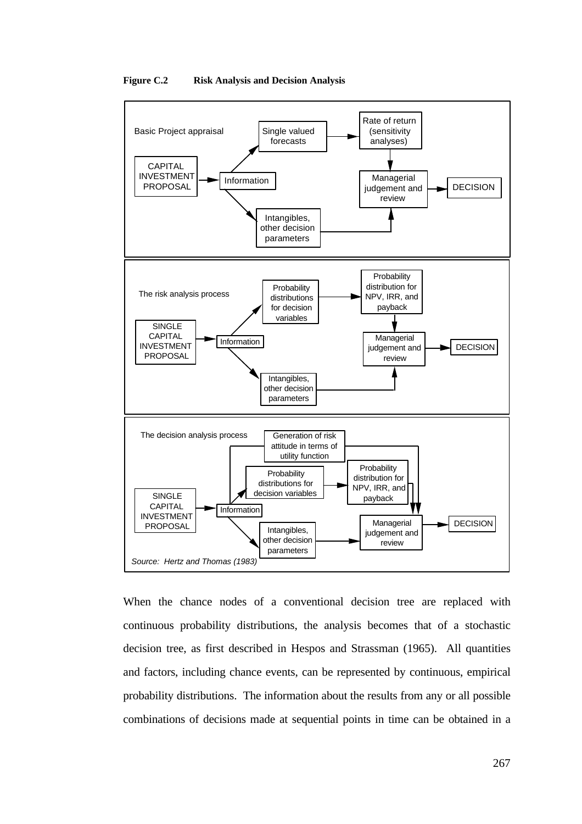

**Figure C.2 Risk Analysis and Decision Analysis**

When the chance nodes of a conventional decision tree are replaced with continuous probability distributions, the analysis becomes that of a stochastic decision tree, as first described in Hespos and Strassman (1965). All quantities and factors, including chance events, can be represented by continuous, empirical probability distributions. The information about the results from any or all possible combinations of decisions made at sequential points in time can be obtained in a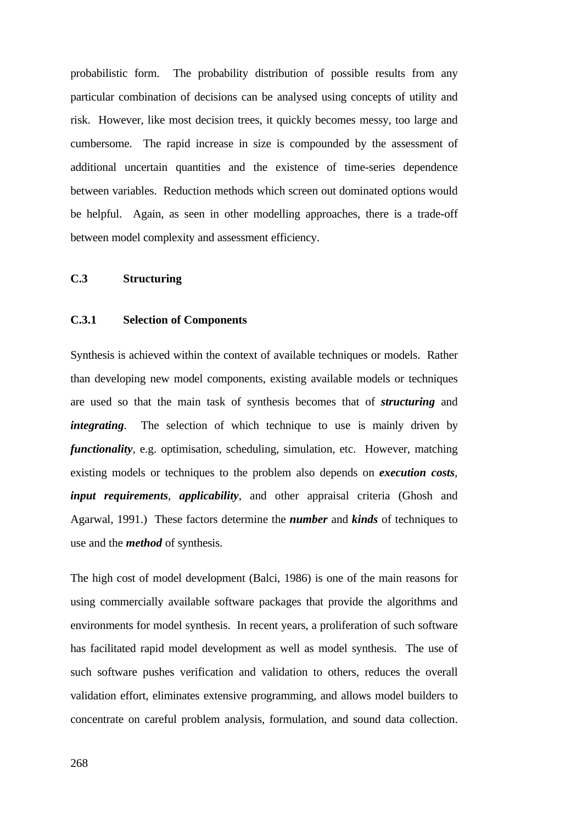probabilistic form. The probability distribution of possible results from any particular combination of decisions can be analysed using concepts of utility and risk. However, like most decision trees, it quickly becomes messy, too large and cumbersome. The rapid increase in size is compounded by the assessment of additional uncertain quantities and the existence of time-series dependence between variables. Reduction methods which screen out dominated options would be helpful. Again, as seen in other modelling approaches, there is a trade-off between model complexity and assessment efficiency.

## **C.3 Structuring**

#### **C.3.1 Selection of Components**

Synthesis is achieved within the context of available techniques or models. Rather than developing new model components, existing available models or techniques are used so that the main task of synthesis becomes that of *structuring* and *integrating*. The selection of which technique to use is mainly driven by *functionality*, e.g. optimisation, scheduling, simulation, etc. However, matching existing models or techniques to the problem also depends on *execution costs*, *input requirements*, *applicability*, and other appraisal criteria (Ghosh and Agarwal, 1991.) These factors determine the *number* and *kinds* of techniques to use and the *method* of synthesis.

The high cost of model development (Balci, 1986) is one of the main reasons for using commercially available software packages that provide the algorithms and environments for model synthesis. In recent years, a proliferation of such software has facilitated rapid model development as well as model synthesis. The use of such software pushes verification and validation to others, reduces the overall validation effort, eliminates extensive programming, and allows model builders to concentrate on careful problem analysis, formulation, and sound data collection.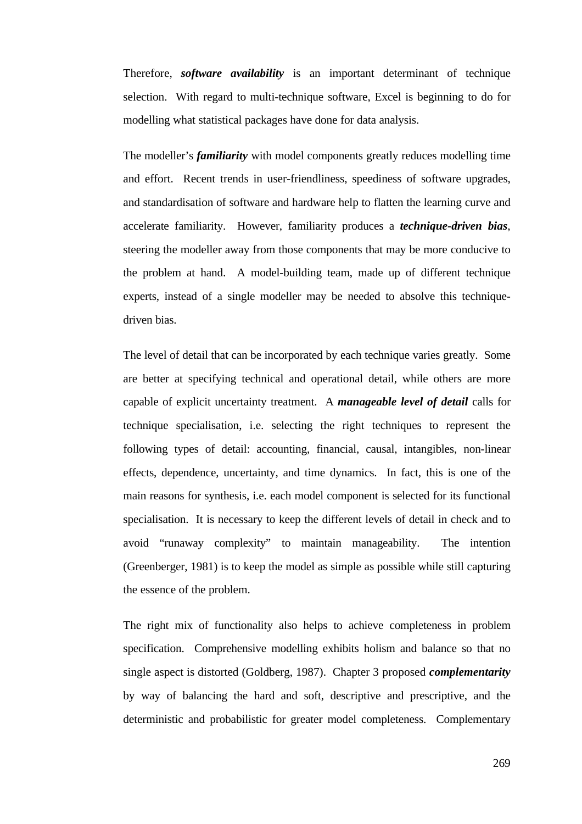Therefore, *software availability* is an important determinant of technique selection. With regard to multi-technique software, Excel is beginning to do for modelling what statistical packages have done for data analysis.

The modeller's *familiarity* with model components greatly reduces modelling time and effort. Recent trends in user-friendliness, speediness of software upgrades, and standardisation of software and hardware help to flatten the learning curve and accelerate familiarity. However, familiarity produces a *technique-driven bias*, steering the modeller away from those components that may be more conducive to the problem at hand. A model-building team, made up of different technique experts, instead of a single modeller may be needed to absolve this techniquedriven bias.

The level of detail that can be incorporated by each technique varies greatly. Some are better at specifying technical and operational detail, while others are more capable of explicit uncertainty treatment. A *manageable level of detail* calls for technique specialisation, i.e. selecting the right techniques to represent the following types of detail: accounting, financial, causal, intangibles, non-linear effects, dependence, uncertainty, and time dynamics. In fact, this is one of the main reasons for synthesis, i.e. each model component is selected for its functional specialisation. It is necessary to keep the different levels of detail in check and to avoid "runaway complexity" to maintain manageability. The intention (Greenberger, 1981) is to keep the model as simple as possible while still capturing the essence of the problem.

The right mix of functionality also helps to achieve completeness in problem specification. Comprehensive modelling exhibits holism and balance so that no single aspect is distorted (Goldberg, 1987). Chapter 3 proposed *complementarity* by way of balancing the hard and soft, descriptive and prescriptive, and the deterministic and probabilistic for greater model completeness. Complementary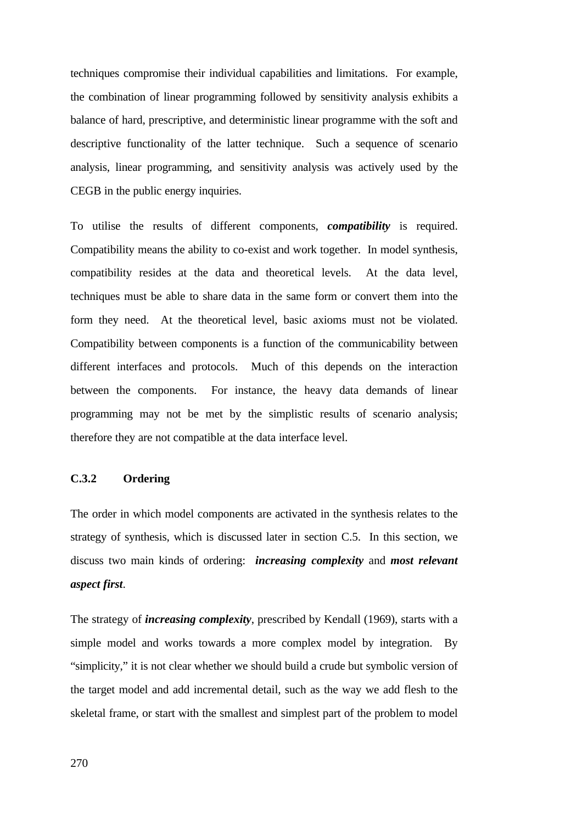techniques compromise their individual capabilities and limitations. For example, the combination of linear programming followed by sensitivity analysis exhibits a balance of hard, prescriptive, and deterministic linear programme with the soft and descriptive functionality of the latter technique. Such a sequence of scenario analysis, linear programming, and sensitivity analysis was actively used by the CEGB in the public energy inquiries.

To utilise the results of different components, *compatibility* is required. Compatibility means the ability to co-exist and work together. In model synthesis, compatibility resides at the data and theoretical levels. At the data level, techniques must be able to share data in the same form or convert them into the form they need. At the theoretical level, basic axioms must not be violated. Compatibility between components is a function of the communicability between different interfaces and protocols. Much of this depends on the interaction between the components. For instance, the heavy data demands of linear programming may not be met by the simplistic results of scenario analysis; therefore they are not compatible at the data interface level.

# **C.3.2 Ordering**

The order in which model components are activated in the synthesis relates to the strategy of synthesis, which is discussed later in section C.5. In this section, we discuss two main kinds of ordering: *increasing complexity* and *most relevant aspect first*.

The strategy of *increasing complexity*, prescribed by Kendall (1969), starts with a simple model and works towards a more complex model by integration. By "simplicity," it is not clear whether we should build a crude but symbolic version of the target model and add incremental detail, such as the way we add flesh to the skeletal frame, or start with the smallest and simplest part of the problem to model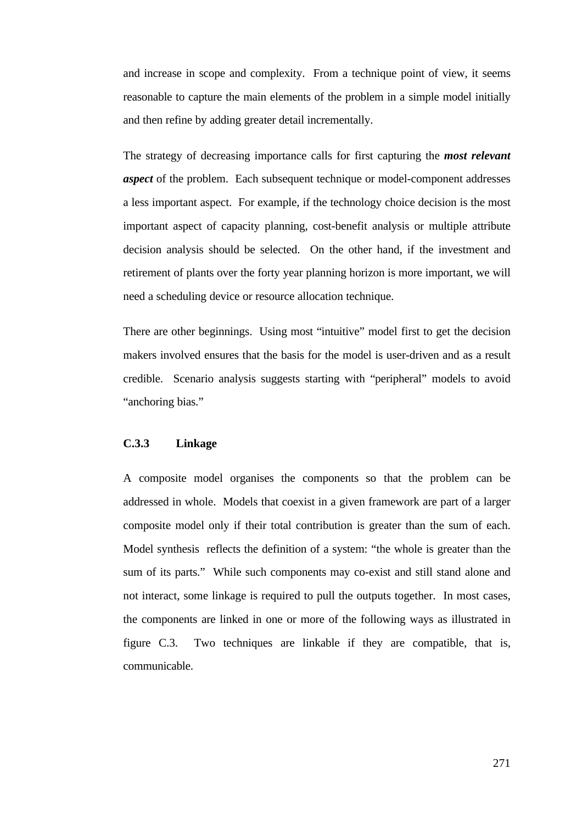and increase in scope and complexity. From a technique point of view, it seems reasonable to capture the main elements of the problem in a simple model initially and then refine by adding greater detail incrementally.

The strategy of decreasing importance calls for first capturing the *most relevant aspect* of the problem. Each subsequent technique or model-component addresses a less important aspect. For example, if the technology choice decision is the most important aspect of capacity planning, cost-benefit analysis or multiple attribute decision analysis should be selected. On the other hand, if the investment and retirement of plants over the forty year planning horizon is more important, we will need a scheduling device or resource allocation technique.

There are other beginnings. Using most "intuitive" model first to get the decision makers involved ensures that the basis for the model is user-driven and as a result credible. Scenario analysis suggests starting with "peripheral" models to avoid "anchoring bias."

# **C.3.3 Linkage**

A composite model organises the components so that the problem can be addressed in whole. Models that coexist in a given framework are part of a larger composite model only if their total contribution is greater than the sum of each. Model synthesis reflects the definition of a system: "the whole is greater than the sum of its parts." While such components may co-exist and still stand alone and not interact, some linkage is required to pull the outputs together. In most cases, the components are linked in one or more of the following ways as illustrated in figure C.3. Two techniques are linkable if they are compatible, that is, communicable.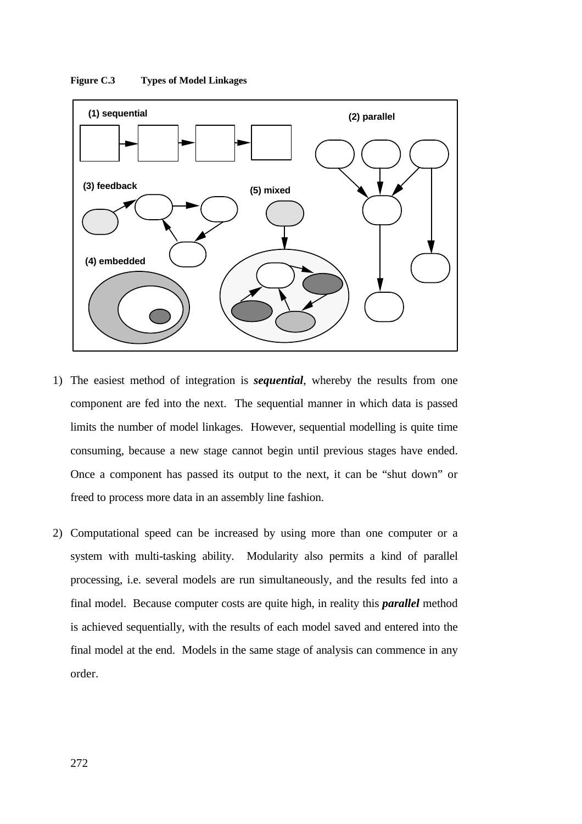



- 1) The easiest method of integration is *sequential*, whereby the results from one component are fed into the next. The sequential manner in which data is passed limits the number of model linkages. However, sequential modelling is quite time consuming, because a new stage cannot begin until previous stages have ended. Once a component has passed its output to the next, it can be "shut down" or freed to process more data in an assembly line fashion.
- 2) Computational speed can be increased by using more than one computer or a system with multi-tasking ability. Modularity also permits a kind of parallel processing, i.e. several models are run simultaneously, and the results fed into a final model. Because computer costs are quite high, in reality this *parallel* method is achieved sequentially, with the results of each model saved and entered into the final model at the end. Models in the same stage of analysis can commence in any order.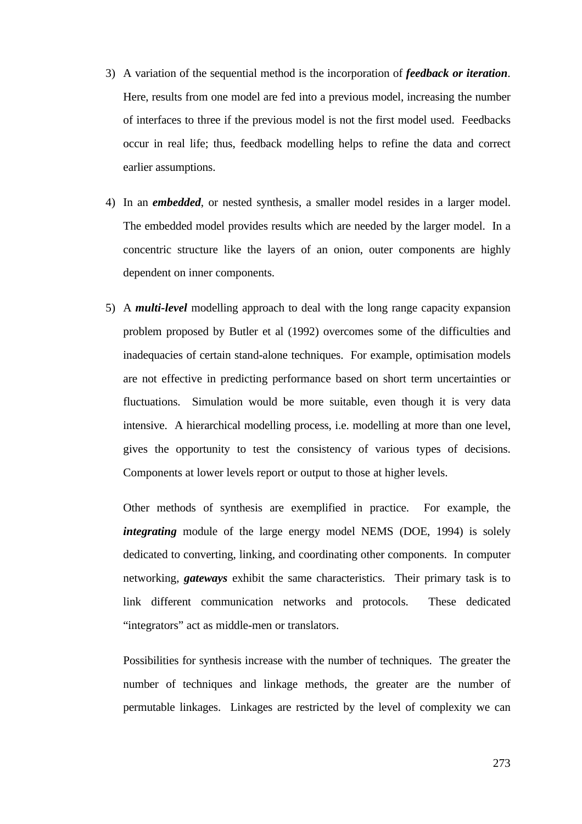- 3) A variation of the sequential method is the incorporation of *feedback or iteration*. Here, results from one model are fed into a previous model, increasing the number of interfaces to three if the previous model is not the first model used. Feedbacks occur in real life; thus, feedback modelling helps to refine the data and correct earlier assumptions.
- 4) In an *embedded*, or nested synthesis, a smaller model resides in a larger model. The embedded model provides results which are needed by the larger model. In a concentric structure like the layers of an onion, outer components are highly dependent on inner components.
- 5) A *multi-level* modelling approach to deal with the long range capacity expansion problem proposed by Butler et al (1992) overcomes some of the difficulties and inadequacies of certain stand-alone techniques. For example, optimisation models are not effective in predicting performance based on short term uncertainties or fluctuations. Simulation would be more suitable, even though it is very data intensive. A hierarchical modelling process, i.e. modelling at more than one level, gives the opportunity to test the consistency of various types of decisions. Components at lower levels report or output to those at higher levels.

Other methods of synthesis are exemplified in practice. For example, the *integrating* module of the large energy model NEMS (DOE, 1994) is solely dedicated to converting, linking, and coordinating other components. In computer networking, *gateways* exhibit the same characteristics. Their primary task is to link different communication networks and protocols. These dedicated "integrators" act as middle-men or translators.

Possibilities for synthesis increase with the number of techniques. The greater the number of techniques and linkage methods, the greater are the number of permutable linkages. Linkages are restricted by the level of complexity we can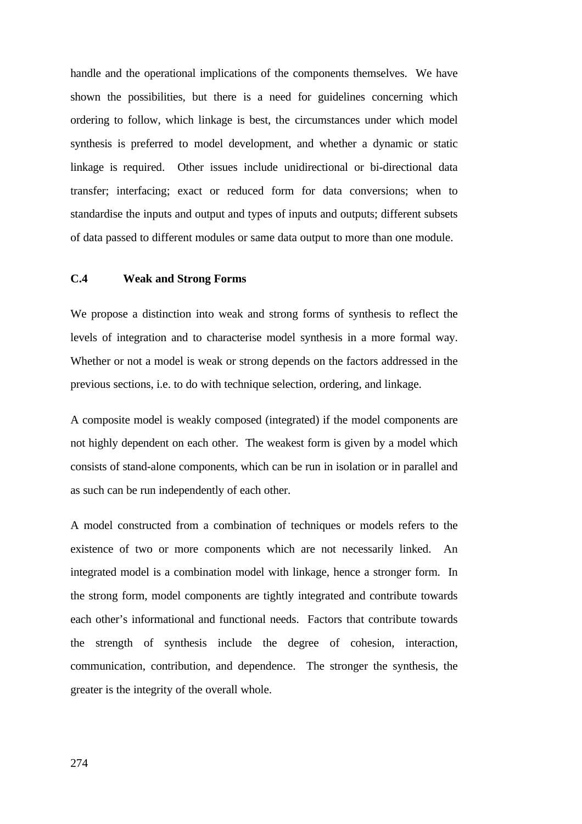handle and the operational implications of the components themselves. We have shown the possibilities, but there is a need for guidelines concerning which ordering to follow, which linkage is best, the circumstances under which model synthesis is preferred to model development, and whether a dynamic or static linkage is required. Other issues include unidirectional or bi-directional data transfer; interfacing; exact or reduced form for data conversions; when to standardise the inputs and output and types of inputs and outputs; different subsets of data passed to different modules or same data output to more than one module.

## **C.4 Weak and Strong Forms**

We propose a distinction into weak and strong forms of synthesis to reflect the levels of integration and to characterise model synthesis in a more formal way. Whether or not a model is weak or strong depends on the factors addressed in the previous sections, i.e. to do with technique selection, ordering, and linkage.

A composite model is weakly composed (integrated) if the model components are not highly dependent on each other. The weakest form is given by a model which consists of stand-alone components, which can be run in isolation or in parallel and as such can be run independently of each other.

A model constructed from a combination of techniques or models refers to the existence of two or more components which are not necessarily linked. An integrated model is a combination model with linkage, hence a stronger form. In the strong form, model components are tightly integrated and contribute towards each other's informational and functional needs. Factors that contribute towards the strength of synthesis include the degree of cohesion, interaction, communication, contribution, and dependence. The stronger the synthesis, the greater is the integrity of the overall whole.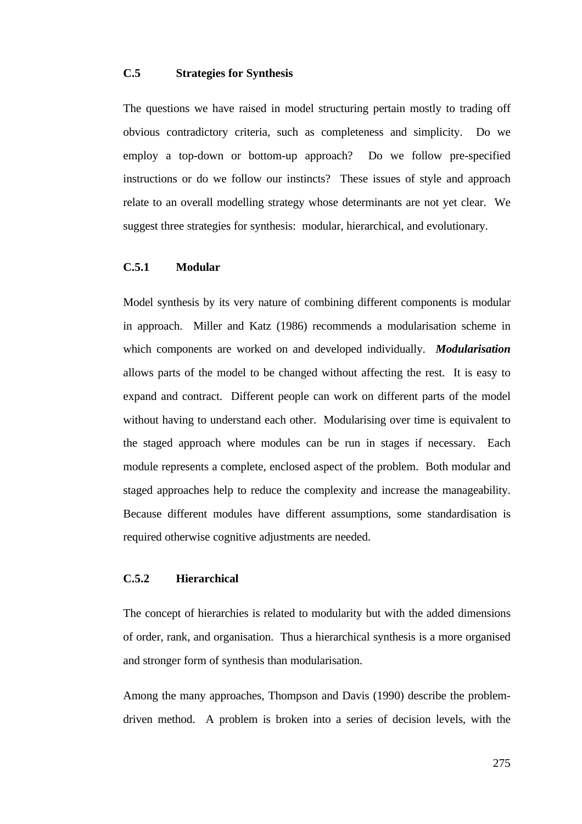## **C.5 Strategies for Synthesis**

The questions we have raised in model structuring pertain mostly to trading off obvious contradictory criteria, such as completeness and simplicity. Do we employ a top-down or bottom-up approach? Do we follow pre-specified instructions or do we follow our instincts? These issues of style and approach relate to an overall modelling strategy whose determinants are not yet clear. We suggest three strategies for synthesis: modular, hierarchical, and evolutionary.

### **C.5.1 Modular**

Model synthesis by its very nature of combining different components is modular in approach. Miller and Katz (1986) recommends a modularisation scheme in which components are worked on and developed individually. *Modularisation* allows parts of the model to be changed without affecting the rest. It is easy to expand and contract. Different people can work on different parts of the model without having to understand each other. Modularising over time is equivalent to the staged approach where modules can be run in stages if necessary. Each module represents a complete, enclosed aspect of the problem. Both modular and staged approaches help to reduce the complexity and increase the manageability. Because different modules have different assumptions, some standardisation is required otherwise cognitive adjustments are needed.

## **C.5.2 Hierarchical**

The concept of hierarchies is related to modularity but with the added dimensions of order, rank, and organisation. Thus a hierarchical synthesis is a more organised and stronger form of synthesis than modularisation.

Among the many approaches, Thompson and Davis (1990) describe the problemdriven method. A problem is broken into a series of decision levels, with the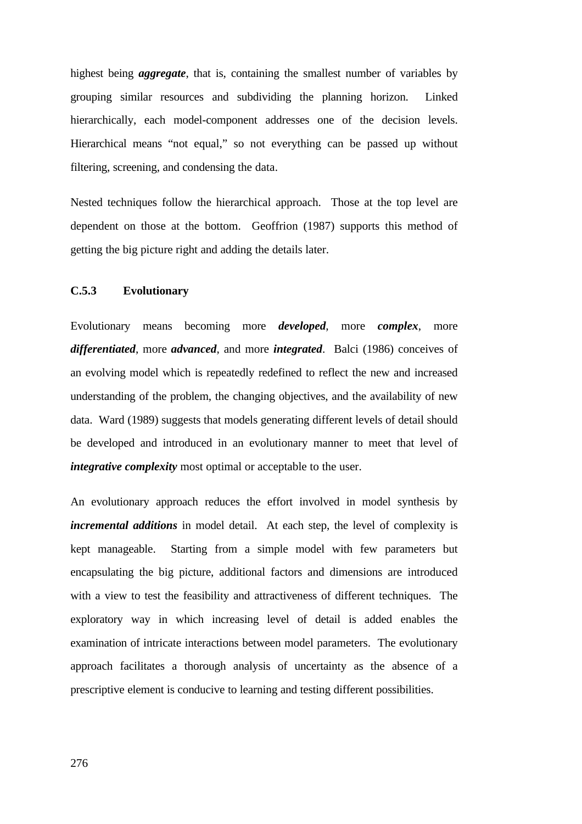highest being *aggregate*, that is, containing the smallest number of variables by grouping similar resources and subdividing the planning horizon. Linked hierarchically, each model-component addresses one of the decision levels. Hierarchical means "not equal," so not everything can be passed up without filtering, screening, and condensing the data.

Nested techniques follow the hierarchical approach. Those at the top level are dependent on those at the bottom. Geoffrion (1987) supports this method of getting the big picture right and adding the details later.

### **C.5.3 Evolutionary**

Evolutionary means becoming more *developed*, more *complex*, more *differentiated*, more *advanced*, and more *integrated*. Balci (1986) conceives of an evolving model which is repeatedly redefined to reflect the new and increased understanding of the problem, the changing objectives, and the availability of new data. Ward (1989) suggests that models generating different levels of detail should be developed and introduced in an evolutionary manner to meet that level of *integrative complexity* most optimal or acceptable to the user.

An evolutionary approach reduces the effort involved in model synthesis by *incremental additions* in model detail. At each step, the level of complexity is kept manageable. Starting from a simple model with few parameters but encapsulating the big picture, additional factors and dimensions are introduced with a view to test the feasibility and attractiveness of different techniques. The exploratory way in which increasing level of detail is added enables the examination of intricate interactions between model parameters. The evolutionary approach facilitates a thorough analysis of uncertainty as the absence of a prescriptive element is conducive to learning and testing different possibilities.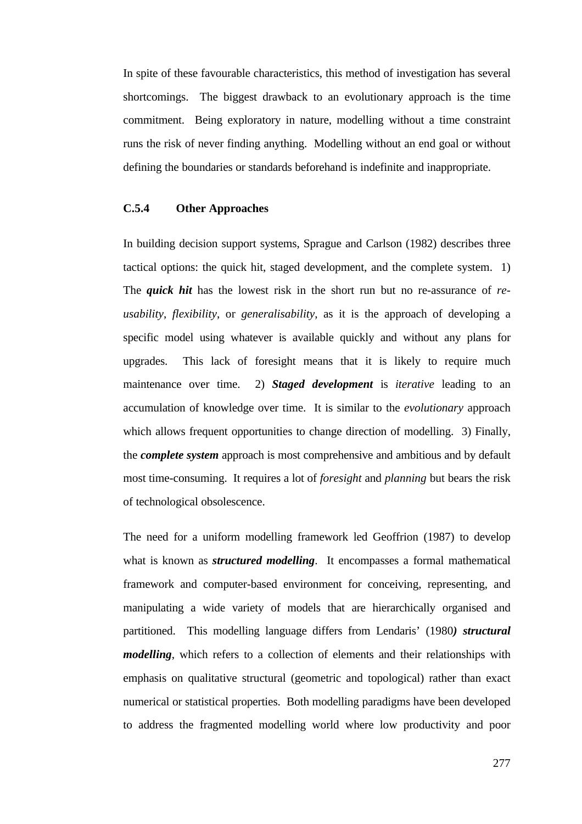In spite of these favourable characteristics, this method of investigation has several shortcomings. The biggest drawback to an evolutionary approach is the time commitment. Being exploratory in nature, modelling without a time constraint runs the risk of never finding anything. Modelling without an end goal or without defining the boundaries or standards beforehand is indefinite and inappropriate.

### **C.5.4 Other Approaches**

In building decision support systems, Sprague and Carlson (1982) describes three tactical options: the quick hit, staged development, and the complete system. 1) The *quick hit* has the lowest risk in the short run but no re-assurance of *reusability*, *flexibility*, or *generalisability*, as it is the approach of developing a specific model using whatever is available quickly and without any plans for upgrades. This lack of foresight means that it is likely to require much maintenance over time. 2) *Staged development* is *iterative* leading to an accumulation of knowledge over time. It is similar to the *evolutionary* approach which allows frequent opportunities to change direction of modelling. 3) Finally, the *complete system* approach is most comprehensive and ambitious and by default most time-consuming. It requires a lot of *foresight* and *planning* but bears the risk of technological obsolescence.

The need for a uniform modelling framework led Geoffrion (1987) to develop what is known as *structured modelling*. It encompasses a formal mathematical framework and computer-based environment for conceiving, representing, and manipulating a wide variety of models that are hierarchically organised and partitioned. This modelling language differs from Lendaris' (1980*) structural modelling*, which refers to a collection of elements and their relationships with emphasis on qualitative structural (geometric and topological) rather than exact numerical or statistical properties. Both modelling paradigms have been developed to address the fragmented modelling world where low productivity and poor